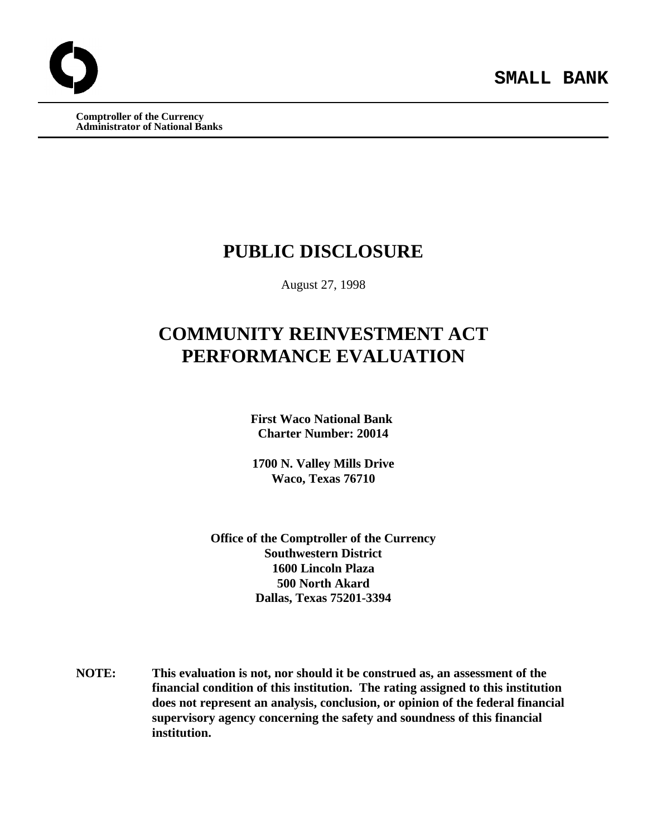**Comptroller of the Currency Administrator of National Banks**

## **PUBLIC DISCLOSURE**

August 27, 1998

# **COMMUNITY REINVESTMENT ACT PERFORMANCE EVALUATION**

**First Waco National Bank Charter Number: 20014**

**1700 N. Valley Mills Drive Waco, Texas 76710**

**Office of the Comptroller of the Currency Southwestern District 1600 Lincoln Plaza 500 North Akard Dallas, Texas 75201-3394**

**NOTE: This evaluation is not, nor should it be construed as, an assessment of the financial condition of this institution. The rating assigned to this institution does not represent an analysis, conclusion, or opinion of the federal financial supervisory agency concerning the safety and soundness of this financial institution.**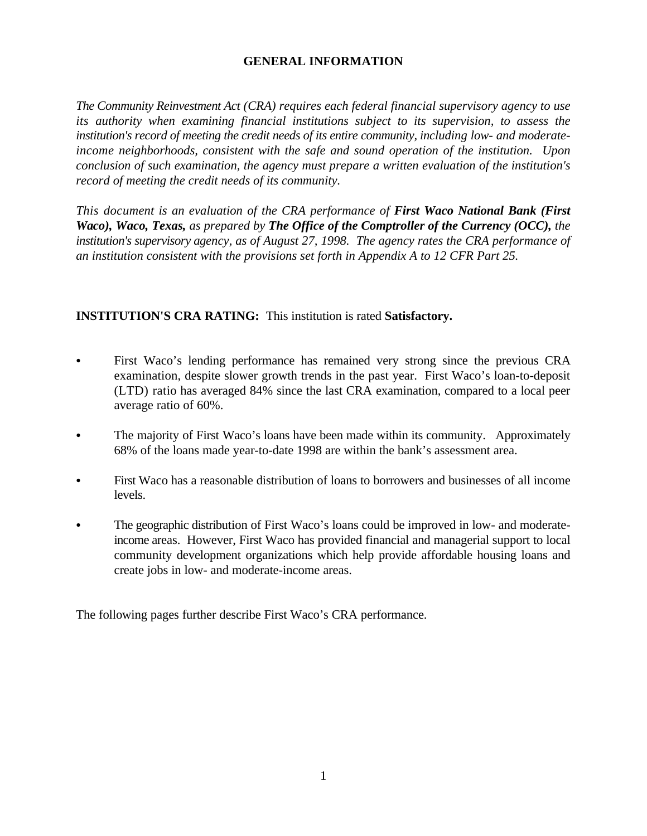## **GENERAL INFORMATION**

*The Community Reinvestment Act (CRA) requires each federal financial supervisory agency to use its authority when examining financial institutions subject to its supervision, to assess the institution's record of meeting the credit needs of its entire community, including low- and moderateincome neighborhoods, consistent with the safe and sound operation of the institution. Upon conclusion of such examination, the agency must prepare a written evaluation of the institution's record of meeting the credit needs of its community.* 

*This document is an evaluation of the CRA performance of First Waco National Bank (First Waco), Waco, Texas, as prepared by The Office of the Comptroller of the Currency (OCC), the institution's supervisory agency, as of August 27, 1998. The agency rates the CRA performance of an institution consistent with the provisions set forth in Appendix A to 12 CFR Part 25.*

## **INSTITUTION'S CRA RATING:** This institution is rated **Satisfactory.**

- First Waco's lending performance has remained very strong since the previous CRA examination, despite slower growth trends in the past year. First Waco's loan-to-deposit (LTD) ratio has averaged 84% since the last CRA examination, compared to a local peer average ratio of 60%.
- The majority of First Waco's loans have been made within its community. Approximately 68% of the loans made year-to-date 1998 are within the bank's assessment area.
- First Waco has a reasonable distribution of loans to borrowers and businesses of all income levels.
- The geographic distribution of First Waco's loans could be improved in low- and moderateincome areas. However, First Waco has provided financial and managerial support to local community development organizations which help provide affordable housing loans and create jobs in low- and moderate-income areas.

The following pages further describe First Waco's CRA performance.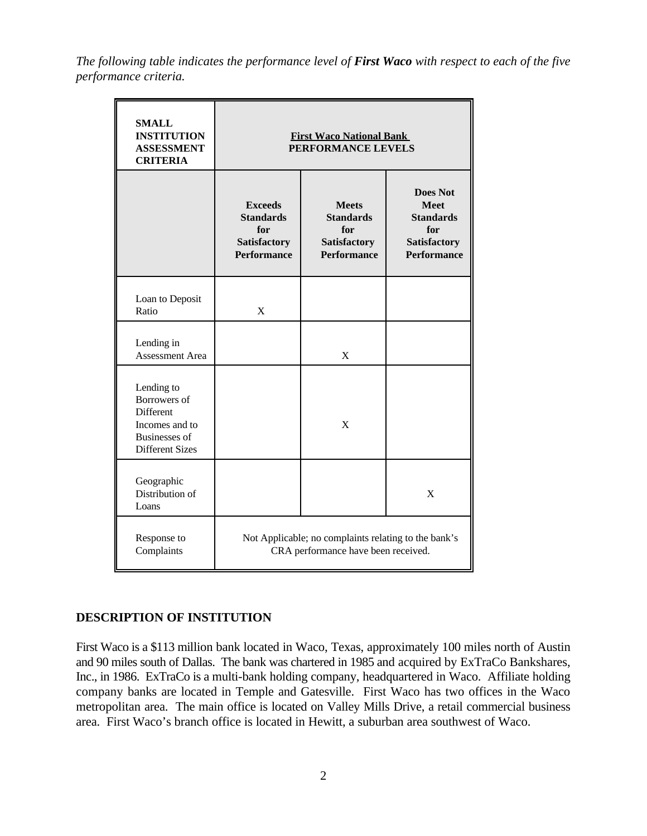*The following table indicates the performance level of First Waco with respect to each of the five performance criteria.*

| <b>SMALL</b><br><b>INSTITUTION</b><br><b>ASSESSMENT</b><br><b>CRITERIA</b>                                         | <b>First Waco National Bank</b><br>PERFORMANCE LEVELS                                       |                                                                               |                                                                                                        |  |  |  |  |  |  |  |
|--------------------------------------------------------------------------------------------------------------------|---------------------------------------------------------------------------------------------|-------------------------------------------------------------------------------|--------------------------------------------------------------------------------------------------------|--|--|--|--|--|--|--|
|                                                                                                                    | <b>Exceeds</b><br><b>Standards</b><br>for<br><b>Satisfactory</b><br><b>Performance</b>      | <b>Meets</b><br><b>Standards</b><br>for<br>Satisfactory<br><b>Performance</b> | <b>Does Not</b><br><b>Meet</b><br><b>Standards</b><br>for<br><b>Satisfactory</b><br><b>Performance</b> |  |  |  |  |  |  |  |
| Loan to Deposit<br>Ratio                                                                                           | X                                                                                           |                                                                               |                                                                                                        |  |  |  |  |  |  |  |
| Lending in<br><b>Assessment Area</b>                                                                               |                                                                                             | X                                                                             |                                                                                                        |  |  |  |  |  |  |  |
| Lending to<br>Borrowers of<br><b>Different</b><br>Incomes and to<br><b>Businesses</b> of<br><b>Different Sizes</b> |                                                                                             | X                                                                             |                                                                                                        |  |  |  |  |  |  |  |
| Geographic<br>Distribution of<br>Loans                                                                             |                                                                                             |                                                                               | X                                                                                                      |  |  |  |  |  |  |  |
| Response to<br>Complaints                                                                                          | Not Applicable; no complaints relating to the bank's<br>CRA performance have been received. |                                                                               |                                                                                                        |  |  |  |  |  |  |  |

## **DESCRIPTION OF INSTITUTION**

First Waco is a \$113 million bank located in Waco, Texas, approximately 100 miles north of Austin and 90 miles south of Dallas. The bank was chartered in 1985 and acquired by ExTraCo Bankshares, Inc., in 1986. ExTraCo is a multi-bank holding company, headquartered in Waco. Affiliate holding company banks are located in Temple and Gatesville. First Waco has two offices in the Waco metropolitan area. The main office is located on Valley Mills Drive, a retail commercial business area. First Waco's branch office is located in Hewitt, a suburban area southwest of Waco.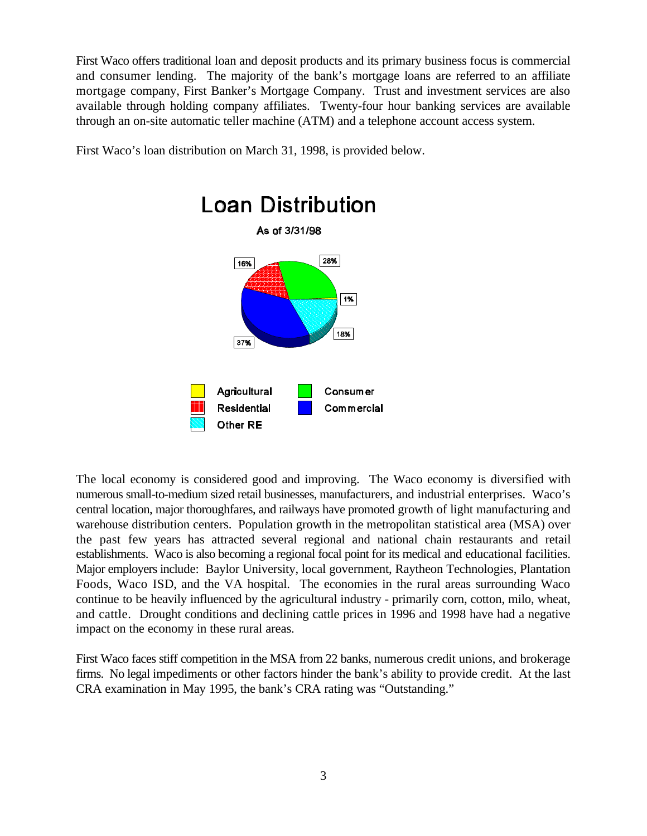First Waco offers traditional loan and deposit products and its primary business focus is commercial and consumer lending. The majority of the bank's mortgage loans are referred to an affiliate mortgage company, First Banker's Mortgage Company. Trust and investment services are also available through holding company affiliates. Twenty-four hour banking services are available through an on-site automatic teller machine (ATM) and a telephone account access system.

First Waco's loan distribution on March 31, 1998, is provided below.



The local economy is considered good and improving. The Waco economy is diversified with numerous small-to-medium sized retail businesses, manufacturers, and industrial enterprises. Waco's central location, major thoroughfares, and railways have promoted growth of light manufacturing and warehouse distribution centers. Population growth in the metropolitan statistical area (MSA) over the past few years has attracted several regional and national chain restaurants and retail establishments. Waco is also becoming a regional focal point for its medical and educational facilities. Major employers include: Baylor University, local government, Raytheon Technologies, Plantation Foods, Waco ISD, and the VA hospital. The economies in the rural areas surrounding Waco continue to be heavily influenced by the agricultural industry - primarily corn, cotton, milo, wheat, and cattle. Drought conditions and declining cattle prices in 1996 and 1998 have had a negative impact on the economy in these rural areas.

First Waco faces stiff competition in the MSA from 22 banks, numerous credit unions, and brokerage firms. No legal impediments or other factors hinder the bank's ability to provide credit. At the last CRA examination in May 1995, the bank's CRA rating was "Outstanding."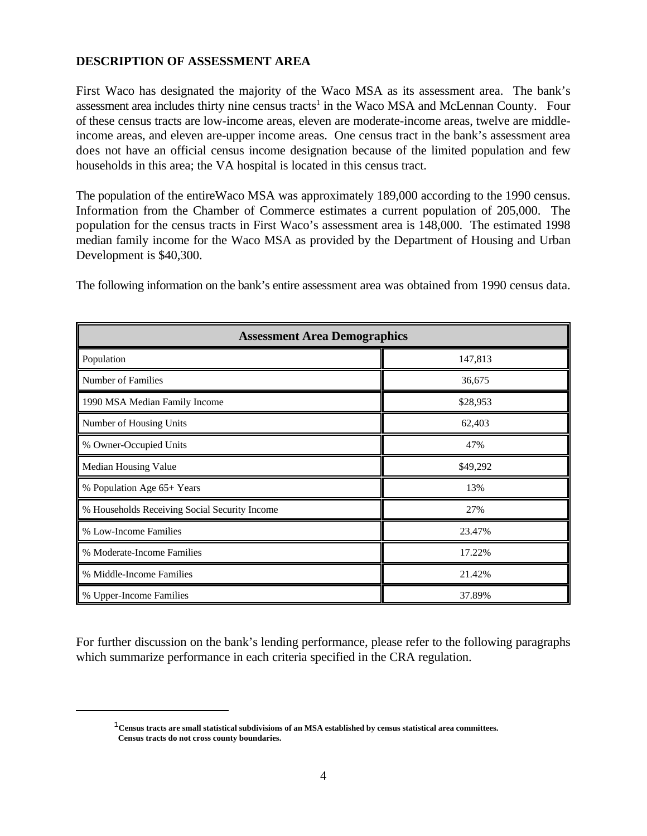## **DESCRIPTION OF ASSESSMENT AREA**

First Waco has designated the majority of the Waco MSA as its assessment area. The bank's assessment area includes thirty nine census tracts<sup>1</sup> in the Waco MSA and McLennan County. Four of these census tracts are low-income areas, eleven are moderate-income areas, twelve are middleincome areas, and eleven are-upper income areas. One census tract in the bank's assessment area does not have an official census income designation because of the limited population and few households in this area; the VA hospital is located in this census tract.

The population of the entireWaco MSA was approximately 189,000 according to the 1990 census. Information from the Chamber of Commerce estimates a current population of 205,000. The population for the census tracts in First Waco's assessment area is 148,000. The estimated 1998 median family income for the Waco MSA as provided by the Department of Housing and Urban Development is \$40,300.

The following information on the bank's entire assessment area was obtained from 1990 census data.

| <b>Assessment Area Demographics</b>           |          |  |  |  |  |  |  |  |  |
|-----------------------------------------------|----------|--|--|--|--|--|--|--|--|
| Population                                    | 147,813  |  |  |  |  |  |  |  |  |
| Number of Families                            | 36,675   |  |  |  |  |  |  |  |  |
| 1990 MSA Median Family Income                 | \$28,953 |  |  |  |  |  |  |  |  |
| Number of Housing Units                       | 62,403   |  |  |  |  |  |  |  |  |
| % Owner-Occupied Units                        | 47%      |  |  |  |  |  |  |  |  |
| Median Housing Value                          | \$49,292 |  |  |  |  |  |  |  |  |
| % Population Age 65+ Years                    | 13%      |  |  |  |  |  |  |  |  |
| % Households Receiving Social Security Income | 27%      |  |  |  |  |  |  |  |  |
| % Low-Income Families                         | 23.47%   |  |  |  |  |  |  |  |  |
| % Moderate-Income Families                    | 17.22%   |  |  |  |  |  |  |  |  |
| % Middle-Income Families                      | 21.42%   |  |  |  |  |  |  |  |  |
| % Upper-Income Families                       | 37.89%   |  |  |  |  |  |  |  |  |

For further discussion on the bank's lending performance, please refer to the following paragraphs which summarize performance in each criteria specified in the CRA regulation.

 ${}^{1}$ Census tracts are small statistical subdivisions of an MSA established by census statistical area committees.  **Census tracts do not cross county boundaries.**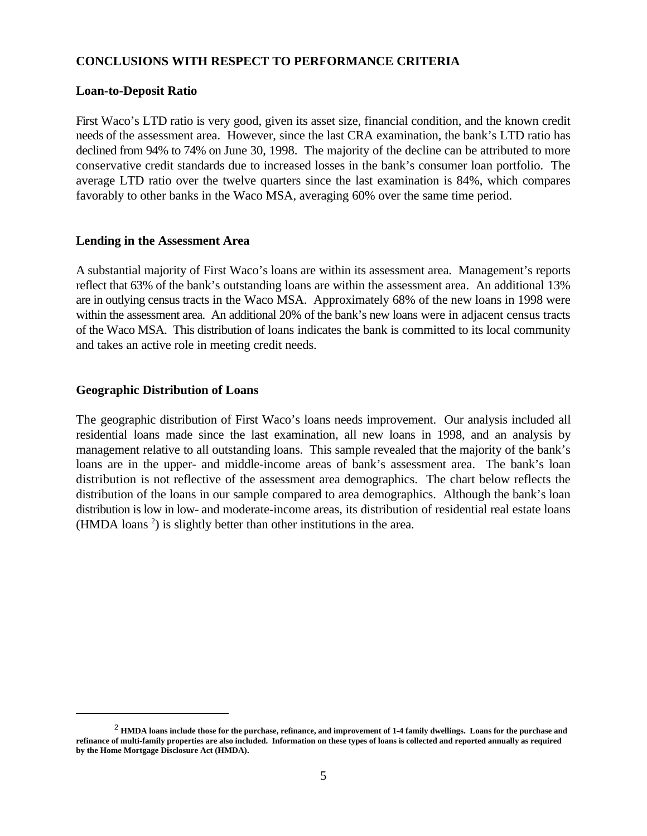## **CONCLUSIONS WITH RESPECT TO PERFORMANCE CRITERIA**

#### **Loan-to-Deposit Ratio**

First Waco's LTD ratio is very good, given its asset size, financial condition, and the known credit needs of the assessment area. However, since the last CRA examination, the bank's LTD ratio has declined from 94% to 74% on June 30, 1998. The majority of the decline can be attributed to more conservative credit standards due to increased losses in the bank's consumer loan portfolio. The average LTD ratio over the twelve quarters since the last examination is 84%, which compares favorably to other banks in the Waco MSA, averaging 60% over the same time period.

#### **Lending in the Assessment Area**

A substantial majority of First Waco's loans are within its assessment area. Management's reports reflect that 63% of the bank's outstanding loans are within the assessment area. An additional 13% are in outlying census tracts in the Waco MSA. Approximately 68% of the new loans in 1998 were within the assessment area. An additional 20% of the bank's new loans were in adjacent census tracts of the Waco MSA. This distribution of loans indicates the bank is committed to its local community and takes an active role in meeting credit needs.

#### **Geographic Distribution of Loans**

The geographic distribution of First Waco's loans needs improvement. Our analysis included all residential loans made since the last examination, all new loans in 1998, and an analysis by management relative to all outstanding loans. This sample revealed that the majority of the bank's loans are in the upper- and middle-income areas of bank's assessment area. The bank's loan distribution is not reflective of the assessment area demographics. The chart below reflects the distribution of the loans in our sample compared to area demographics. Although the bank's loan distribution is low in low- and moderate-income areas, its distribution of residential real estate loans (HMDA loans<sup>2</sup>) is slightly better than other institutions in the area.

**HMDA loans include those for the purchase, refinance, and improvement of 1-4 family dwellings. Loans for the purchase and** <sup>2</sup> **refinance of multi-family properties are also included. Information on these types of loans is collected and reported annually as required by the Home Mortgage Disclosure Act (HMDA).**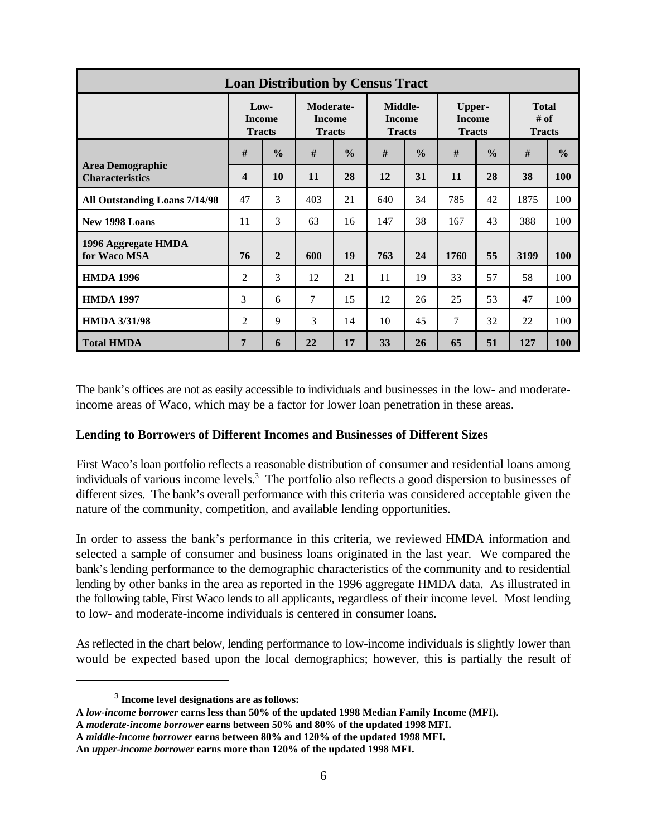| <b>Loan Distribution by Census Tract</b>          |                                          |                |                                             |               |                                           |               |                                                 |               |                                       |               |
|---------------------------------------------------|------------------------------------------|----------------|---------------------------------------------|---------------|-------------------------------------------|---------------|-------------------------------------------------|---------------|---------------------------------------|---------------|
|                                                   | $Low-$<br><b>Income</b><br><b>Tracts</b> |                | Moderate-<br><b>Income</b><br><b>Tracts</b> |               | Middle-<br><b>Income</b><br><b>Tracts</b> |               | <b>Upper-</b><br><b>Income</b><br><b>Tracts</b> |               | <b>Total</b><br># of<br><b>Tracts</b> |               |
| <b>Area Demographic</b><br><b>Characteristics</b> | #                                        | $\frac{6}{6}$  | #                                           | $\frac{0}{0}$ | #                                         | $\frac{0}{0}$ | #                                               | $\frac{0}{0}$ | #                                     | $\frac{6}{6}$ |
|                                                   | $\overline{\mathbf{4}}$                  | 10             | 11                                          | 28            | 12                                        | 31            | 11                                              | 28            | 38                                    | 100           |
| All Outstanding Loans 7/14/98                     | 47                                       | 3              | 403                                         | 21            | 640                                       | 34            | 785                                             | 42            | 1875                                  | 100           |
| New 1998 Loans                                    | 11                                       | 3              | 63                                          | 16            | 147                                       | 38            | 167                                             | 43            | 388                                   | 100           |
| 1996 Aggregate HMDA<br>for Waco MSA               | 76                                       | $\overline{2}$ | 600                                         | 19            | 763                                       | 24            | 1760                                            | 55            | 3199                                  | <b>100</b>    |
| <b>HMDA 1996</b>                                  | $\overline{2}$                           | 3              | 12                                          | 21            | 11                                        | 19            | 33                                              | 57            | 58                                    | 100           |
| <b>HMDA 1997</b>                                  | 3                                        | 6              | $\tau$                                      | 15            | 12                                        | 26            | 25                                              | 53            | 47                                    | 100           |
| <b>HMDA 3/31/98</b>                               | 2                                        | 9              | 3                                           | 14            | 10                                        | 45            | 7                                               | 32            | 22                                    | 100           |
| <b>Total HMDA</b>                                 | 7                                        | 6              | 22                                          | 17            | 33                                        | 26            | 65                                              | 51            | 127                                   | <b>100</b>    |

The bank's offices are not as easily accessible to individuals and businesses in the low- and moderateincome areas of Waco, which may be a factor for lower loan penetration in these areas.

#### **Lending to Borrowers of Different Incomes and Businesses of Different Sizes**

First Waco's loan portfolio reflects a reasonable distribution of consumer and residential loans among individuals of various income levels.<sup>3</sup> The portfolio also reflects a good dispersion to businesses of different sizes. The bank's overall performance with this criteria was considered acceptable given the nature of the community, competition, and available lending opportunities.

In order to assess the bank's performance in this criteria, we reviewed HMDA information and selected a sample of consumer and business loans originated in the last year. We compared the bank's lending performance to the demographic characteristics of the community and to residential lending by other banks in the area as reported in the 1996 aggregate HMDA data. As illustrated in the following table, First Waco lends to all applicants, regardless of their income level. Most lending to low- and moderate-income individuals is centered in consumer loans.

As reflected in the chart below, lending performance to low-income individuals is slightly lower than would be expected based upon the local demographics; however, this is partially the result of

<sup>&</sup>lt;sup>3</sup> Income level designations are as follows:

**A** *low-income borrower* **earns less than 50% of the updated 1998 Median Family Income (MFI).**

**A** *moderate-income borrower* **earns between 50% and 80% of the updated 1998 MFI.**

**A** *middle-income borrower* **earns between 80% and 120% of the updated 1998 MFI.**

**An** *upper-income borrower* **earns more than 120% of the updated 1998 MFI.**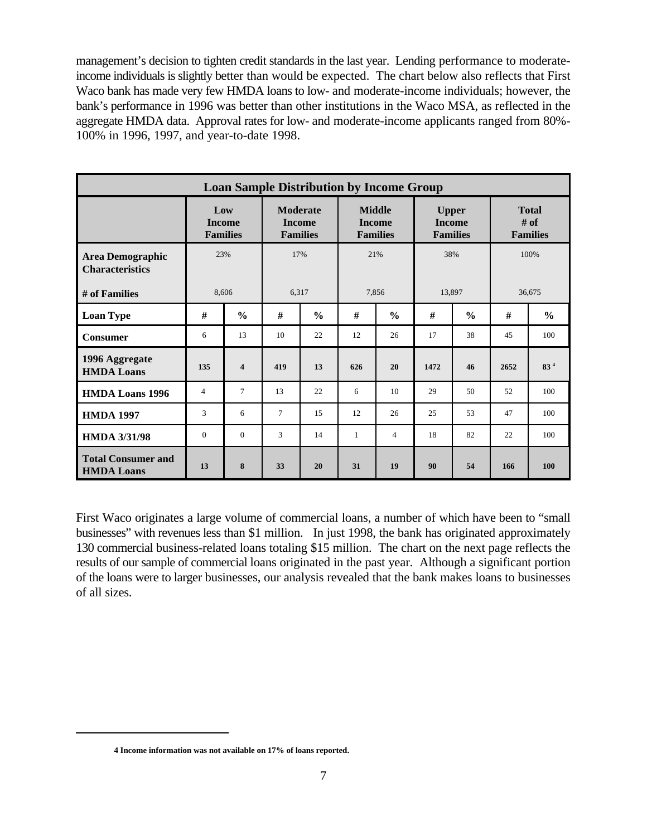management's decision to tighten credit standards in the last year. Lending performance to moderateincome individuals is slightly better than would be expected. The chart below also reflects that First Waco bank has made very few HMDA loans to low- and moderate-income individuals; however, the bank's performance in 1996 was better than other institutions in the Waco MSA, as reflected in the aggregate HMDA data. Approval rates for low- and moderate-income applicants ranged from 80%- 100% in 1996, 1997, and year-to-date 1998.

| <b>Loan Sample Distribution by Income Group</b>   |                                         |                |                                                     |               |                                                   |                |                                                  |               |                                         |                 |
|---------------------------------------------------|-----------------------------------------|----------------|-----------------------------------------------------|---------------|---------------------------------------------------|----------------|--------------------------------------------------|---------------|-----------------------------------------|-----------------|
|                                                   | Low<br><b>Income</b><br><b>Families</b> |                | <b>Moderate</b><br><b>Income</b><br><b>Families</b> |               | <b>Middle</b><br><b>Income</b><br><b>Families</b> |                | <b>Upper</b><br><b>Income</b><br><b>Families</b> |               | <b>Total</b><br># of<br><b>Families</b> |                 |
| <b>Area Demographic</b><br><b>Characteristics</b> | 23%                                     |                | 17%                                                 |               | 21%                                               |                | 38%                                              |               | 100%                                    |                 |
| # of Families                                     | 8,606                                   |                | 6,317                                               |               | 7,856                                             |                | 13,897                                           |               | 36,675                                  |                 |
| <b>Loan Type</b>                                  | #                                       | $\frac{0}{0}$  | #                                                   | $\frac{6}{6}$ | #                                                 | $\frac{6}{6}$  | #                                                | $\frac{6}{6}$ | #                                       | $\frac{0}{0}$   |
| <b>Consumer</b>                                   | 6                                       | 13             | 10                                                  | 22            | 12                                                | 26             | 17                                               | 38            | 45                                      | 100             |
| 1996 Aggregate<br><b>HMDA Loans</b>               | 135                                     | $\overline{4}$ | 419                                                 | 13            | 626                                               | 20             | 1472                                             | 46            | 2652                                    | 83 <sup>4</sup> |
| <b>HMDA Loans 1996</b>                            | 4                                       | $\overline{7}$ | 13                                                  | 22            | 6                                                 | 10             | 29                                               | 50            | 52                                      | 100             |
| <b>HMDA 1997</b>                                  | 3                                       | 6              | $\tau$                                              | 15            | 12                                                | 26             | 25                                               | 53            | 47                                      | 100             |
| <b>HMDA 3/31/98</b>                               | $\mathbf{0}$                            | $\overline{0}$ | 3                                                   | 14            | $\mathbf{1}$                                      | $\overline{4}$ | 18                                               | 82            | 22                                      | 100             |
| <b>Total Consumer and</b><br><b>HMDA Loans</b>    | 13                                      | 8              | 33                                                  | 20            | 31                                                | 19             | 90                                               | 54            | 166                                     | <b>100</b>      |

First Waco originates a large volume of commercial loans, a number of which have been to "small businesses" with revenues less than \$1 million. In just 1998, the bank has originated approximately 130 commercial business-related loans totaling \$15 million. The chart on the next page reflects the results of our sample of commercial loans originated in the past year. Although a significant portion of the loans were to larger businesses, our analysis revealed that the bank makes loans to businesses of all sizes.

**<sup>4</sup> Income information was not available on 17% of loans reported.**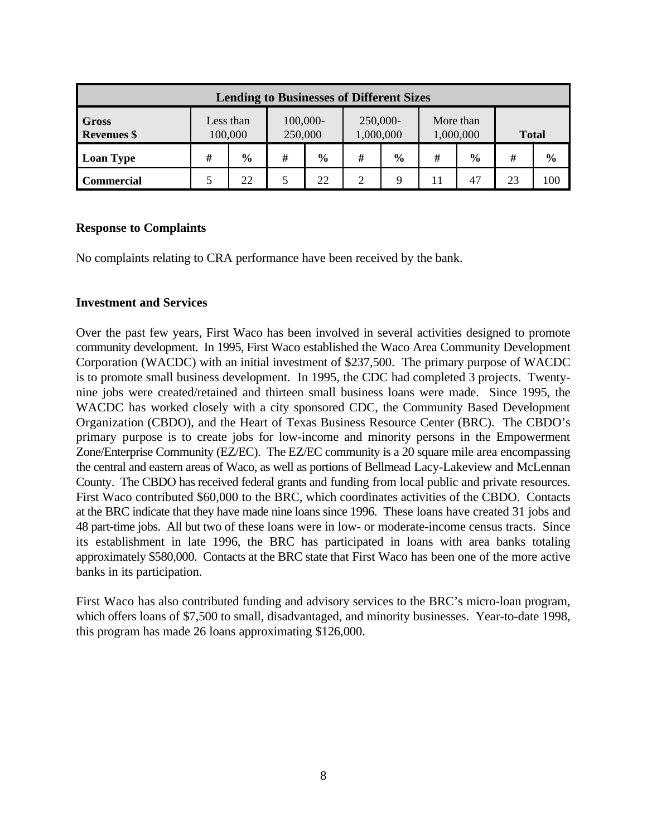| <b>Lending to Businesses of Different Sizes</b> |                      |               |                     |               |                       |               |                        |               |              |               |  |
|-------------------------------------------------|----------------------|---------------|---------------------|---------------|-----------------------|---------------|------------------------|---------------|--------------|---------------|--|
| <b>Gross</b><br><b>Revenues</b> \$              | Less than<br>100,000 |               | 100,000-<br>250,000 |               | 250,000-<br>1,000,000 |               | More than<br>1,000,000 |               | <b>Total</b> |               |  |
| <b>Loan Type</b>                                | #                    | $\frac{6}{9}$ | #                   | $\frac{0}{0}$ | #                     | $\frac{0}{0}$ | #                      | $\frac{0}{0}$ | #            | $\frac{6}{6}$ |  |
| <b>Commercial</b>                               | 5                    | 22            |                     | 22            | ↑                     | $\mathbf Q$   |                        | 47            | 23           | 100           |  |

#### **Response to Complaints**

No complaints relating to CRA performance have been received by the bank.

#### **Investment and Services**

Over the past few years, First Waco has been involved in several activities designed to promote community development. In 1995, First Waco established the Waco Area Community Development Corporation (WACDC) with an initial investment of \$237,500. The primary purpose of WACDC is to promote small business development. In 1995, the CDC had completed 3 projects. Twentynine jobs were created/retained and thirteen small business loans were made. Since 1995, the WACDC has worked closely with a city sponsored CDC, the Community Based Development Organization (CBDO), and the Heart of Texas Business Resource Center (BRC). The CBDO's primary purpose is to create jobs for low-income and minority persons in the Empowerment Zone/Enterprise Community (EZ/EC). The EZ/EC community is a 20 square mile area encompassing the central and eastern areas of Waco, as well as portions of Bellmead Lacy-Lakeview and McLennan County. The CBDO has received federal grants and funding from local public and private resources. First Waco contributed \$60,000 to the BRC, which coordinates activities of the CBDO. Contacts at the BRC indicate that they have made nine loans since 1996. These loans have created 31 jobs and 48 part-time jobs. All but two of these loans were in low- or moderate-income census tracts. Since its establishment in late 1996, the BRC has participated in loans with area banks totaling approximately \$580,000. Contacts at the BRC state that First Waco has been one of the more active banks in its participation.

First Waco has also contributed funding and advisory services to the BRC's micro-loan program, which offers loans of \$7,500 to small, disadvantaged, and minority businesses. Year-to-date 1998, this program has made 26 loans approximating \$126,000.